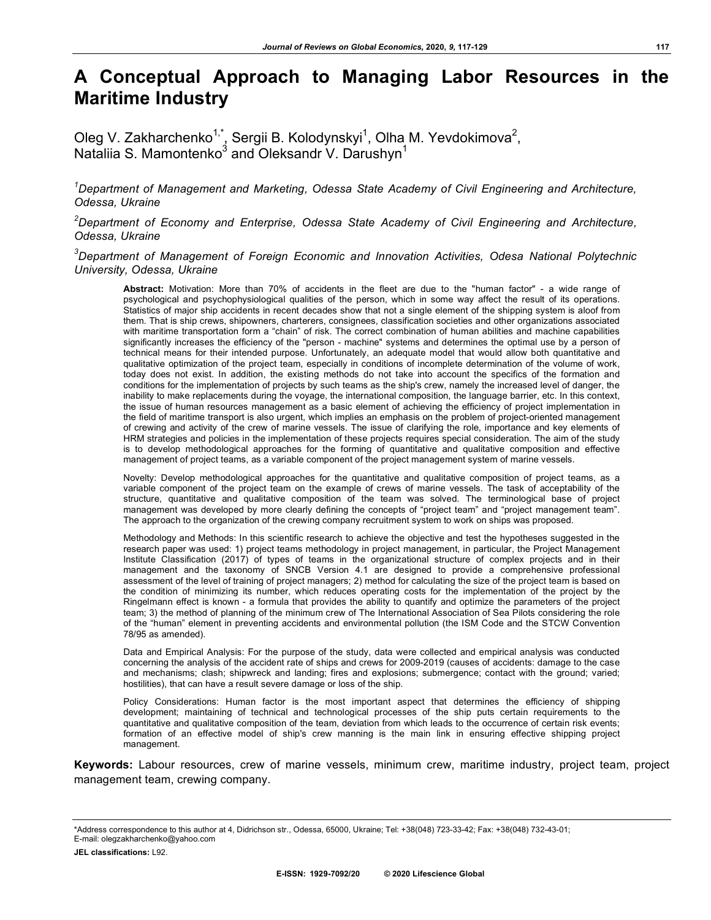# **A Conceptual Approach to Managing Labor Resources in the Maritime Industry**

Oleg V. Zakharchenko<sup>1,\*</sup>, Sergii B. Kolodynskyi<sup>1</sup>, Olha M. Yevdokimova<sup>2</sup>, Nataliia S. Mamontenko $^3$  and Oleksandr V. Darushyn $^1$ 

*1 Department of Management and Marketing, Odessa State Academy of Civil Engineering and Architecture, Odessa, Ukraine*

*2 Department of Economy and Enterprise, Odessa State Academy of Civil Engineering and Architecture, Odessa, Ukraine*

*3 Department of Management of Foreign Economic and Innovation Activities, Odesa National Polytechnic University, Odessa, Ukraine*

**Abstract:** Motivation: More than 70% of accidents in the fleet are due to the "human factor" - a wide range of psychological and psychophysiological qualities of the person, which in some way affect the result of its operations. Statistics of major ship accidents in recent decades show that not a single element of the shipping system is aloof from them. That is ship crews, shipowners, charterers, consignees, classification societies and other organizations associated with maritime transportation form a "chain" of risk. The correct combination of human abilities and machine capabilities significantly increases the efficiency of the "person - machine" systems and determines the optimal use by a person of technical means for their intended purpose. Unfortunately, an adequate model that would allow both quantitative and qualitative optimization of the project team, especially in conditions of incomplete determination of the volume of work, today does not exist. In addition, the existing methods do not take into account the specifics of the formation and conditions for the implementation of projects by such teams as the ship's crew, namely the increased level of danger, the inability to make replacements during the voyage, the international composition, the language barrier, etc. In this context, the issue of human resources management as a basic element of achieving the efficiency of project implementation in the field of maritime transport is also urgent, which implies an emphasis on the problem of project-oriented management of crewing and activity of the crew of marine vessels. The issue of clarifying the role, importance and key elements of HRM strategies and policies in the implementation of these projects requires special consideration. The aim of the study is to develop methodological approaches for the forming of quantitative and qualitative composition and effective management of project teams, as a variable component of the project management system of marine vessels.

Novelty: Develop methodological approaches for the quantitative and qualitative composition of project teams, as a variable component of the project team on the example of crews of marine vessels. The task of acceptability of the structure, quantitative and qualitative composition of the team was solved. The terminological base of project management was developed by more clearly defining the concepts of "project team" and "project management team". The approach to the organization of the crewing company recruitment system to work on ships was proposed.

Methodology and Methods: In this scientific research to achieve the objective and test the hypotheses suggested in the research paper was used: 1) project teams methodology in project management, in particular, the Project Management Institute Classification (2017) of types of teams in the organizational structure of complex projects and in their management and the taxonomy of SNCB Version 4.1 are designed to provide a comprehensive professional assessment of the level of training of project managers; 2) method for calculating the size of the project team is based on the condition of minimizing its number, which reduces operating costs for the implementation of the project by the Ringelmann effect is known - a formula that provides the ability to quantify and optimize the parameters of the project team; 3) the method of planning of the minimum crew of The International Association of Sea Pilots considering the role of the "human" element in preventing accidents and environmental pollution (the ISM Code and the STCW Convention 78/95 as amended).

Data and Empirical Analysis: For the purpose of the study, data were collected and empirical analysis was conducted concerning the analysis of the accident rate of ships and crews for 2009-2019 (causes of accidents: damage to the case and mechanisms; clash; shipwreck and landing; fires and explosions; submergence; contact with the ground; varied; hostilities), that can have a result severe damage or loss of the ship.

Policy Considerations: Human factor is the most important aspect that determines the efficiency of shipping development; maintaining of technical and technological processes of the ship puts certain requirements to the quantitative and qualitative composition of the team, deviation from which leads to the occurrence of certain risk events; formation of an effective model of ship's crew manning is the main link in ensuring effective shipping project management.

**Keywords:** Labour resources, crew of marine vessels, minimum crew, maritime industry, project team, project management team, crewing company.

\*Address correspondence to this author at 4, Didrichson str., Odessa, 65000, Ukraine; Tel: +38(048) 723-33-42; Fax: +38(048) 732-43-01; E-mail: olegzakharchenko@yahoo.com

**JEL classifications:** L92.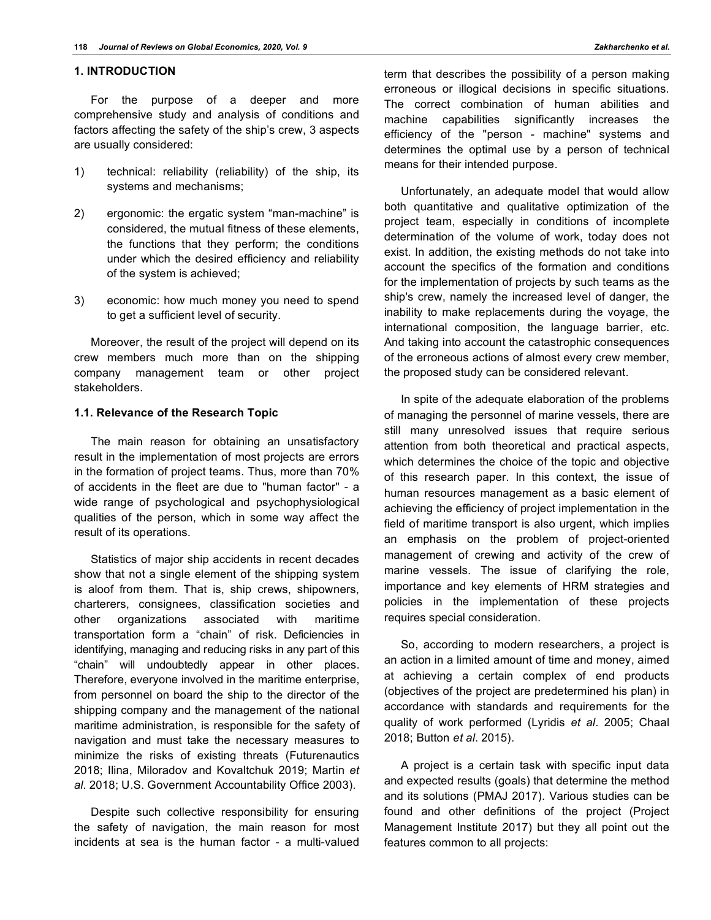## **1. INTRODUCTION**

For the purpose of a deeper and more comprehensive study and analysis of conditions and factors affecting the safety of the ship's crew, 3 aspects are usually considered:

- 1) technical: reliability (reliability) of the ship, its systems and mechanisms;
- 2) ergonomic: the ergatic system "man-machine" is considered, the mutual fitness of these elements, the functions that they perform; the conditions under which the desired efficiency and reliability of the system is achieved;
- 3) economic: how much money you need to spend to get a sufficient level of security.

Moreover, the result of the project will depend on its crew members much more than on the shipping company management team or other project stakeholders.

#### **1.1. Relevance of the Research Topic**

The main reason for obtaining an unsatisfactory result in the implementation of most projects are errors in the formation of project teams. Thus, more than 70% of accidents in the fleet are due to "human factor" - a wide range of psychological and psychophysiological qualities of the person, which in some way affect the result of its operations.

Statistics of major ship accidents in recent decades show that not a single element of the shipping system is aloof from them. That is, ship crews, shipowners, charterers, consignees, classification societies and other organizations associated with maritime transportation form a "chain" of risk. Deficiencies in identifying, managing and reducing risks in any part of this "chain" will undoubtedly appear in other places. Therefore, everyone involved in the maritime enterprise, from personnel on board the ship to the director of the shipping company and the management of the national maritime administration, is responsible for the safety of navigation and must take the necessary measures to minimize the risks of existing threats (Futurenautics 2018; Ilina, Miloradov and Kovaltchuk 2019; Martin *et al*. 2018; U.S. Government Accountability Office 2003).

Despite such collective responsibility for ensuring the safety of navigation, the main reason for most incidents at sea is the human factor - a multi-valued

term that describes the possibility of a person making erroneous or illogical decisions in specific situations. The correct combination of human abilities and machine capabilities significantly increases the efficiency of the "person - machine" systems and determines the optimal use by a person of technical means for their intended purpose.

Unfortunately, an adequate model that would allow both quantitative and qualitative optimization of the project team, especially in conditions of incomplete determination of the volume of work, today does not exist. In addition, the existing methods do not take into account the specifics of the formation and conditions for the implementation of projects by such teams as the ship's crew, namely the increased level of danger, the inability to make replacements during the voyage, the international composition, the language barrier, etc. And taking into account the catastrophic consequences of the erroneous actions of almost every crew member, the proposed study can be considered relevant.

In spite of the adequate elaboration of the problems of managing the personnel of marine vessels, there are still many unresolved issues that require serious attention from both theoretical and practical aspects, which determines the choice of the topic and objective of this research paper. In this context, the issue of human resources management as a basic element of achieving the efficiency of project implementation in the field of maritime transport is also urgent, which implies an emphasis on the problem of project-oriented management of crewing and activity of the crew of marine vessels. The issue of clarifying the role, importance and key elements of HRM strategies and policies in the implementation of these projects requires special consideration.

So, according to modern researchers, a project is an action in a limited amount of time and money, aimed at achieving a certain complex of end products (objectives of the project are predetermined his plan) in accordance with standards and requirements for the quality of work performed (Lyridis *et al*. 2005; Chaal 2018; Button *et al*. 2015).

A project is a certain task with specific input data and expected results (goals) that determine the method and its solutions (PMAJ 2017). Various studies can be found and other definitions of the project (Project Management Institute 2017) but they all point out the features common to all projects: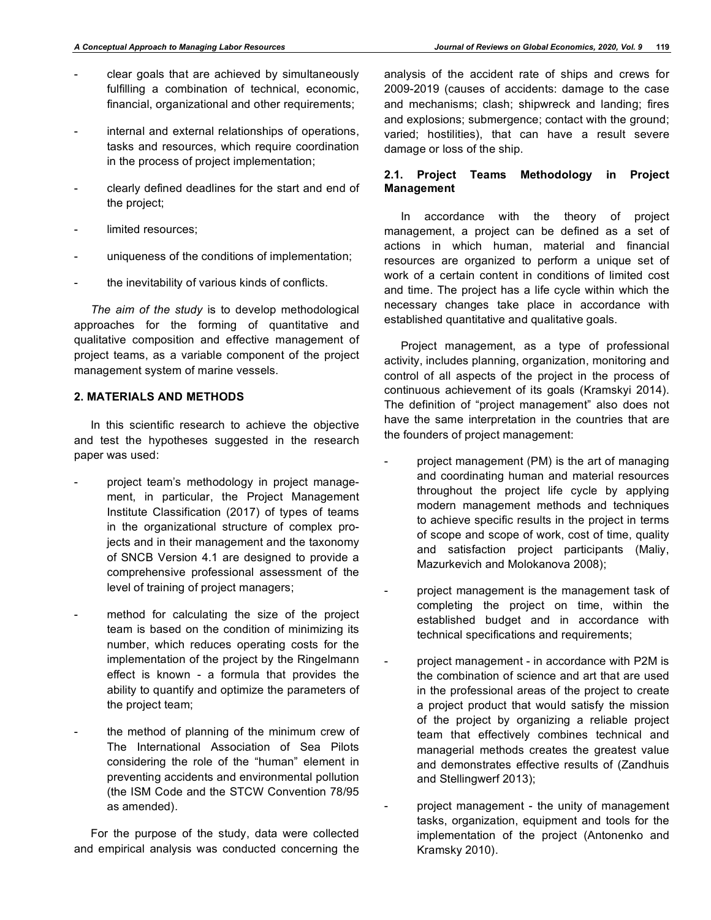- clear goals that are achieved by simultaneously fulfilling a combination of technical, economic, financial, organizational and other requirements;
- internal and external relationships of operations, tasks and resources, which require coordination in the process of project implementation;
- clearly defined deadlines for the start and end of the project;
- limited resources:
- uniqueness of the conditions of implementation;
- the inevitability of various kinds of conflicts.

*The aim of the study* is to develop methodological approaches for the forming of quantitative and qualitative composition and effective management of project teams, as a variable component of the project management system of marine vessels.

## **2. MATERIALS AND METHODS**

In this scientific research to achieve the objective and test the hypotheses suggested in the research paper was used:

- project team's methodology in project management, in particular, the Project Management Institute Classification (2017) of types of teams in the organizational structure of complex projects and in their management and the taxonomy of SNCB Version 4.1 are designed to provide a comprehensive professional assessment of the level of training of project managers;
- method for calculating the size of the project team is based on the condition of minimizing its number, which reduces operating costs for the implementation of the project by the Ringelmann effect is known - a formula that provides the ability to quantify and optimize the parameters of the project team;
- the method of planning of the minimum crew of The International Association of Sea Pilots considering the role of the "human" element in preventing accidents and environmental pollution (the ISM Code and the STCW Convention 78/95 as amended).

For the purpose of the study, data were collected and empirical analysis was conducted concerning the

analysis of the accident rate of ships and crews for 2009-2019 (causes of accidents: damage to the case and mechanisms; clash; shipwreck and landing; fires and explosions; submergence; contact with the ground; varied; hostilities), that can have a result severe damage or loss of the ship.

### **2.1. Project Teams Methodology in Project Management**

In accordance with the theory of project management, a project can be defined as a set of actions in which human, material and financial resources are organized to perform a unique set of work of a certain content in conditions of limited cost and time. The project has a life cycle within which the necessary changes take place in accordance with established quantitative and qualitative goals.

Project management, as a type of professional activity, includes planning, organization, monitoring and control of all aspects of the project in the process of continuous achievement of its goals (Kramskyi 2014). The definition of "project management" also does not have the same interpretation in the countries that are the founders of project management:

- project management (PM) is the art of managing and coordinating human and material resources throughout the project life cycle by applying modern management methods and techniques to achieve specific results in the project in terms of scope and scope of work, cost of time, quality and satisfaction project participants (Maliy, Mazurkevich and Molokanova 2008);
- project management is the management task of completing the project on time, within the established budget and in accordance with technical specifications and requirements;
- project management in accordance with P2M is the combination of science and art that are used in the professional areas of the project to create a project product that would satisfy the mission of the project by organizing a reliable project team that effectively combines technical and managerial methods creates the greatest value and demonstrates effective results of (Zandhuis and Stellingwerf 2013);
	- project management the unity of management tasks, organization, equipment and tools for the implementation of the project (Antonenko and Kramsky 2010).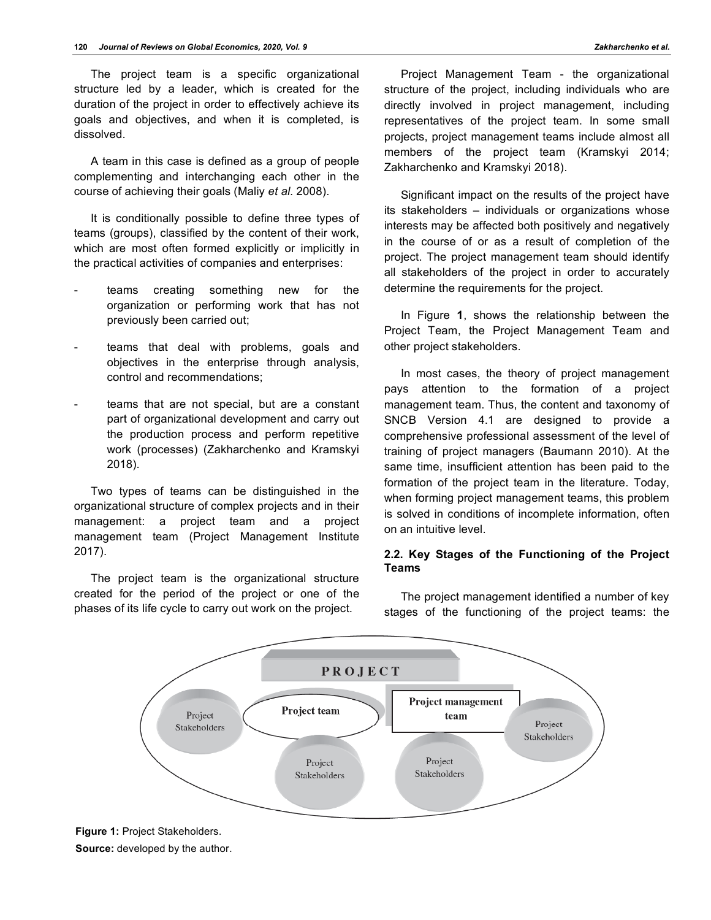The project team is a specific organizational structure led by a leader, which is created for the duration of the project in order to effectively achieve its goals and objectives, and when it is completed, is dissolved.

A team in this case is defined as a group of people complementing and interchanging each other in the course of achieving their goals (Maliy *et al*. 2008).

It is conditionally possible to define three types of teams (groups), classified by the content of their work, which are most often formed explicitly or implicitly in the practical activities of companies and enterprises:

- teams creating something new for the organization or performing work that has not previously been carried out;
- teams that deal with problems, goals and objectives in the enterprise through analysis, control and recommendations;
- teams that are not special, but are a constant part of organizational development and carry out the production process and perform repetitive work (processes) (Zakharchenko and Kramskyi 2018).

Two types of teams can be distinguished in the organizational structure of complex projects and in their management: a project team and a project management team (Project Management Institute 2017).

The project team is the organizational structure created for the period of the project or one of the phases of its life cycle to carry out work on the project.

Project Management Team - the organizational structure of the project, including individuals who are directly involved in project management, including representatives of the project team. In some small projects, project management teams include almost all members of the project team (Kramskyi 2014; Zakharchenko and Kramskyi 2018).

Significant impact on the results of the project have its stakeholders – individuals or organizations whose interests may be affected both positively and negatively in the course of or as a result of completion of the project. The project management team should identify all stakeholders of the project in order to accurately determine the requirements for the project.

In Figure **1**, shows the relationship between the Project Team, the Project Management Team and other project stakeholders.

In most cases, the theory of project management pays attention to the formation of a project management team. Thus, the content and taxonomy of SNCB Version 4.1 are designed to provide a comprehensive professional assessment of the level of training of project managers (Baumann 2010). At the same time, insufficient attention has been paid to the formation of the project team in the literature. Today, when forming project management teams, this problem is solved in conditions of incomplete information, often on an intuitive level.

## **2.2. Key Stages of the Functioning of the Project Teams**





**Figure 1:** Project Stakeholders.

**Source:** developed by the author.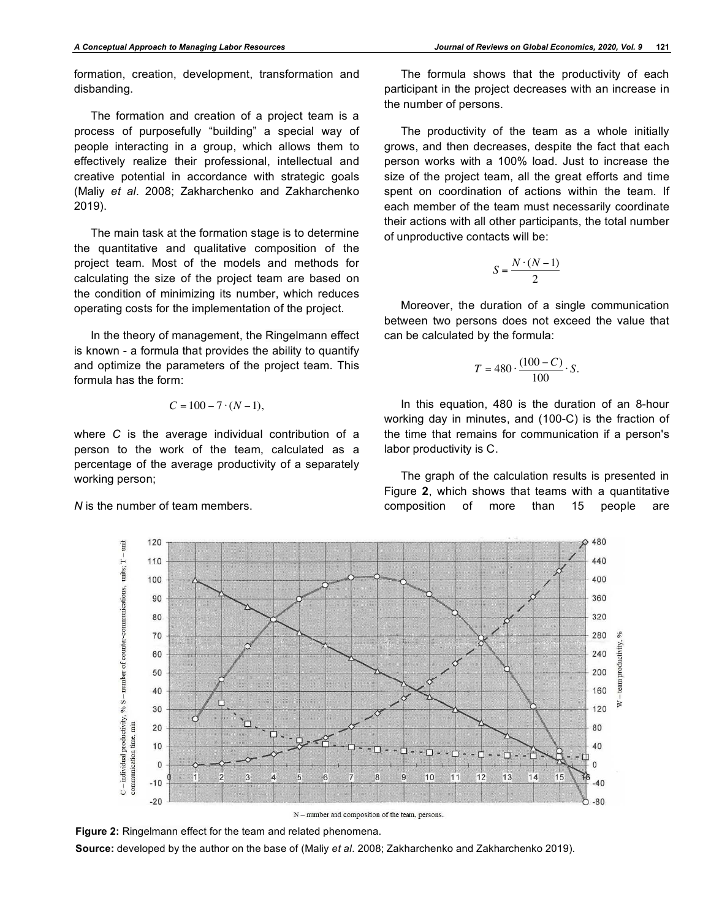formation, creation, development, transformation and disbanding.

The formation and creation of a project team is a process of purposefully "building" a special way of people interacting in a group, which allows them to effectively realize their professional, intellectual and creative potential in accordance with strategic goals (Maliy *et al*. 2008; Zakharchenko and Zakharchenko 2019).

The main task at the formation stage is to determine the quantitative and qualitative composition of the project team. Most of the models and methods for calculating the size of the project team are based on the condition of minimizing its number, which reduces operating costs for the implementation of the project.

In the theory of management, the Ringelmann effect is known - a formula that provides the ability to quantify and optimize the parameters of the project team. This formula has the form:

$$
C = 100 - 7 \cdot (N - 1),
$$

where *C* is the average individual contribution of a person to the work of the team, calculated as a percentage of the average productivity of a separately working person;

*N* is the number of team members.

The formula shows that the productivity of each participant in the project decreases with an increase in the number of persons.

The productivity of the team as a whole initially grows, and then decreases, despite the fact that each person works with a 100% load. Just to increase the size of the project team, all the great efforts and time spent on coordination of actions within the team. If each member of the team must necessarily coordinate their actions with all other participants, the total number of unproductive contacts will be:

$$
S = \frac{N \cdot (N-1)}{2}
$$

Moreover, the duration of a single communication between two persons does not exceed the value that can be calculated by the formula:

$$
T = 480 \cdot \frac{(100 - C)}{100} \cdot S.
$$

In this equation, 480 is the duration of an 8-hour working day in minutes, and (100-C) is the fraction of the time that remains for communication if a person's labor productivity is C.

The graph of the calculation results is presented in Figure **2**, which shows that teams with a quantitative composition of more than 15 people are



**Figure 2:** Ringelmann effect for the team and related phenomena.

**Source:** developed by the author on the base of (Maliy *et al*. 2008; Zakharchenko and Zakharchenko 2019).

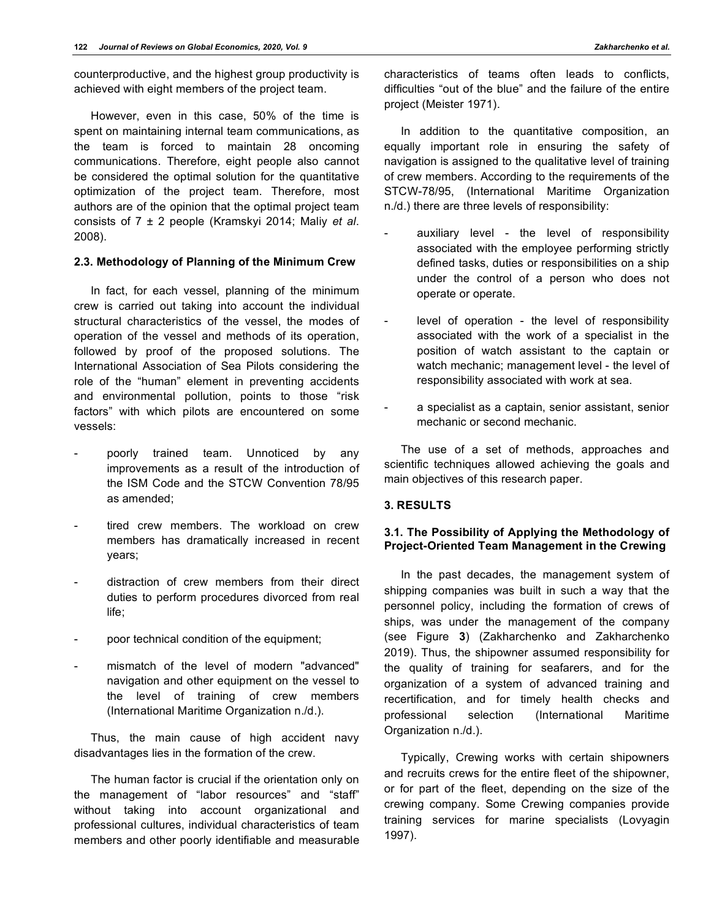counterproductive, and the highest group productivity is achieved with eight members of the project team.

However, even in this case, 50% of the time is spent on maintaining internal team communications, as the team is forced to maintain 28 oncoming communications. Therefore, eight people also cannot be considered the optimal solution for the quantitative optimization of the project team. Therefore, most authors are of the opinion that the optimal project team consists of 7 ± 2 people (Kramskyi 2014; Maliy *et al*. 2008).

### **2.3. Methodology of Planning of the Minimum Crew**

In fact, for each vessel, planning of the minimum crew is carried out taking into account the individual structural characteristics of the vessel, the modes of operation of the vessel and methods of its operation, followed by proof of the proposed solutions. The International Association of Sea Pilots considering the role of the "human" element in preventing accidents and environmental pollution, points to those "risk factors" with which pilots are encountered on some vessels:

- poorly trained team. Unnoticed by any improvements as a result of the introduction of the ISM Code and the STCW Convention 78/95 as amended;
- tired crew members. The workload on crew members has dramatically increased in recent years;
- distraction of crew members from their direct duties to perform procedures divorced from real life;
- poor technical condition of the equipment;
- mismatch of the level of modern "advanced" navigation and other equipment on the vessel to the level of training of crew members (International Maritime Organization n./d.).

Thus, the main cause of high accident navy disadvantages lies in the formation of the crew.

The human factor is crucial if the orientation only on the management of "labor resources" and "staff" without taking into account organizational and professional cultures, individual characteristics of team members and other poorly identifiable and measurable

characteristics of teams often leads to conflicts, difficulties "out of the blue" and the failure of the entire project (Meister 1971).

In addition to the quantitative composition, an equally important role in ensuring the safety of navigation is assigned to the qualitative level of training of crew members. According to the requirements of the STCW-78/95, (International Maritime Organization n./d.) there are three levels of responsibility:

- auxiliary level the level of responsibility associated with the employee performing strictly defined tasks, duties or responsibilities on a ship under the control of a person who does not operate or operate.
- level of operation the level of responsibility associated with the work of a specialist in the position of watch assistant to the captain or watch mechanic; management level - the level of responsibility associated with work at sea.
- a specialist as a captain, senior assistant, senior mechanic or second mechanic.

The use of a set of methods, approaches and scientific techniques allowed achieving the goals and main objectives of this research paper.

#### **3. RESULTS**

## **3.1. The Possibility of Applying the Methodology of Project-Oriented Team Management in the Crewing**

In the past decades, the management system of shipping companies was built in such a way that the personnel policy, including the formation of crews of ships, was under the management of the company (see Figure **3**) (Zakharchenko and Zakharchenko 2019). Thus, the shipowner assumed responsibility for the quality of training for seafarers, and for the organization of a system of advanced training and recertification, and for timely health checks and professional selection (International Maritime Organization n./d.).

Typically, Crewing works with certain shipowners and recruits crews for the entire fleet of the shipowner, or for part of the fleet, depending on the size of the crewing company. Some Crewing companies provide training services for marine specialists (Lovyagin 1997).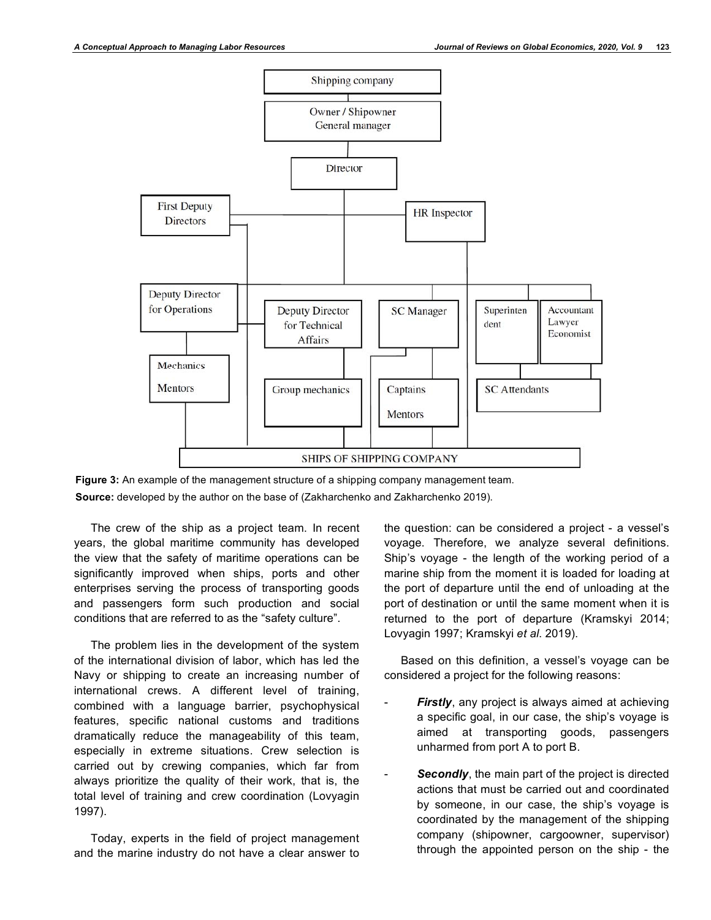

**Figure 3:** An example of the management structure of a shipping company management team. **Source:** developed by the author on the base of (Zakharchenko and Zakharchenko 2019).

The crew of the ship as a project team. In recent years, the global maritime community has developed the view that the safety of maritime operations can be significantly improved when ships, ports and other enterprises serving the process of transporting goods and passengers form such production and social conditions that are referred to as the "safety culture".

The problem lies in the development of the system of the international division of labor, which has led the Navy or shipping to create an increasing number of international crews. A different level of training, combined with a language barrier, psychophysical features, specific national customs and traditions dramatically reduce the manageability of this team, especially in extreme situations. Crew selection is carried out by crewing companies, which far from always prioritize the quality of their work, that is, the total level of training and crew coordination (Lovyagin 1997).

Today, experts in the field of project management and the marine industry do not have a clear answer to

the question: can be considered a project - a vessel's voyage. Therefore, we analyze several definitions. Ship's voyage - the length of the working period of a marine ship from the moment it is loaded for loading at the port of departure until the end of unloading at the port of destination or until the same moment when it is returned to the port of departure (Kramskyi 2014; Lovyagin 1997; Kramskyi *et al*. 2019).

Based on this definition, a vessel's voyage can be considered a project for the following reasons:

- Firstly, any project is always aimed at achieving a specific goal, in our case, the ship's voyage is aimed at transporting goods, passengers unharmed from port A to port B.
- Secondly, the main part of the project is directed actions that must be carried out and coordinated by someone, in our case, the ship's voyage is coordinated by the management of the shipping company (shipowner, cargoowner, supervisor) through the appointed person on the ship - the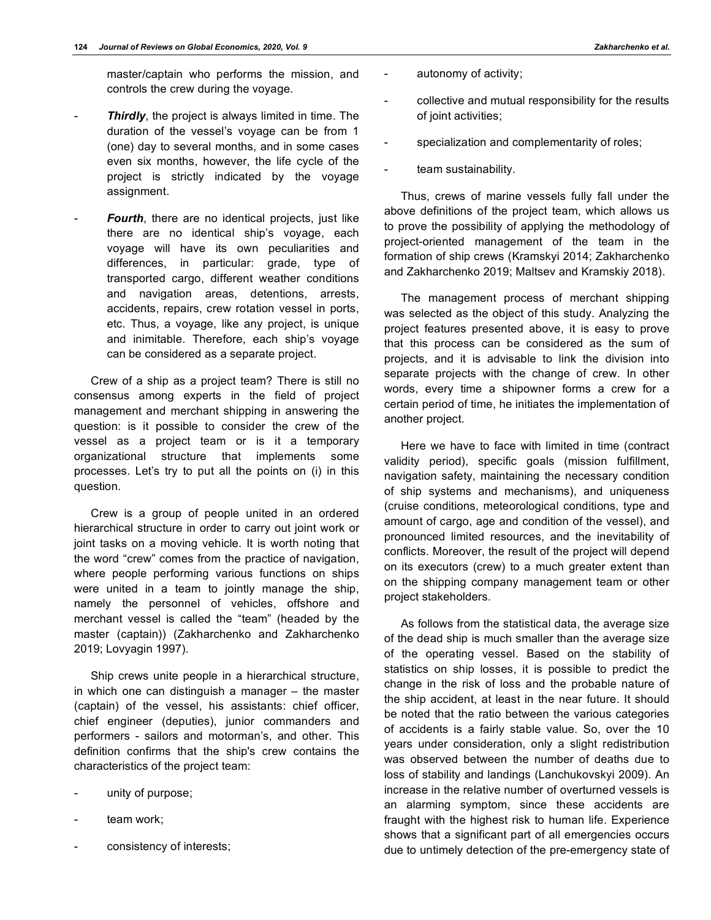master/captain who performs the mission, and controls the crew during the voyage.

- Thirdly, the project is always limited in time. The duration of the vessel's voyage can be from 1 (one) day to several months, and in some cases even six months, however, the life cycle of the project is strictly indicated by the voyage assignment.
- Fourth, there are no identical projects, just like there are no identical ship's voyage, each voyage will have its own peculiarities and differences, in particular: grade, type of transported cargo, different weather conditions and navigation areas, detentions, arrests, accidents, repairs, crew rotation vessel in ports, etc. Thus, a voyage, like any project, is unique and inimitable. Therefore, each ship's voyage can be considered as a separate project.

Crew of a ship as a project team? There is still no consensus among experts in the field of project management and merchant shipping in answering the question: is it possible to consider the crew of the vessel as a project team or is it a temporary organizational structure that implements some processes. Let's try to put all the points on (i) in this question.

Crew is a group of people united in an ordered hierarchical structure in order to carry out joint work or joint tasks on a moving vehicle. It is worth noting that the word "crew" comes from the practice of navigation, where people performing various functions on ships were united in a team to jointly manage the ship, namely the personnel of vehicles, offshore and merchant vessel is called the "team" (headed by the master (captain)) (Zakharchenko and Zakharchenko 2019; Lovyagin 1997).

Ship crews unite people in a hierarchical structure, in which one can distinguish a manager – the master (captain) of the vessel, his assistants: chief officer, chief engineer (deputies), junior commanders and performers - sailors and motorman's, and other. This definition confirms that the ship's crew contains the characteristics of the project team:

- unity of purpose;
- team work;
- consistency of interests;
- autonomy of activity;
- collective and mutual responsibility for the results of joint activities;
- specialization and complementarity of roles;
- team sustainability.

Thus, crews of marine vessels fully fall under the above definitions of the project team, which allows us to prove the possibility of applying the methodology of project-oriented management of the team in the formation of ship crews (Kramskyi 2014; Zakharchenko and Zakharchenko 2019; Maltsev and Kramskiy 2018).

The management process of merchant shipping was selected as the object of this study. Analyzing the project features presented above, it is easy to prove that this process can be considered as the sum of projects, and it is advisable to link the division into separate projects with the change of crew. In other words, every time a shipowner forms a crew for a certain period of time, he initiates the implementation of another project.

Here we have to face with limited in time (contract validity period), specific goals (mission fulfillment, navigation safety, maintaining the necessary condition of ship systems and mechanisms), and uniqueness (cruise conditions, meteorological conditions, type and amount of cargo, age and condition of the vessel), and pronounced limited resources, and the inevitability of conflicts. Moreover, the result of the project will depend on its executors (crew) to a much greater extent than on the shipping company management team or other project stakeholders.

As follows from the statistical data, the average size of the dead ship is much smaller than the average size of the operating vessel. Based on the stability of statistics on ship losses, it is possible to predict the change in the risk of loss and the probable nature of the ship accident, at least in the near future. It should be noted that the ratio between the various categories of accidents is a fairly stable value. So, over the 10 years under consideration, only a slight redistribution was observed between the number of deaths due to loss of stability and landings (Lanchukovskyi 2009). An increase in the relative number of overturned vessels is an alarming symptom, since these accidents are fraught with the highest risk to human life. Experience shows that a significant part of all emergencies occurs due to untimely detection of the pre-emergency state of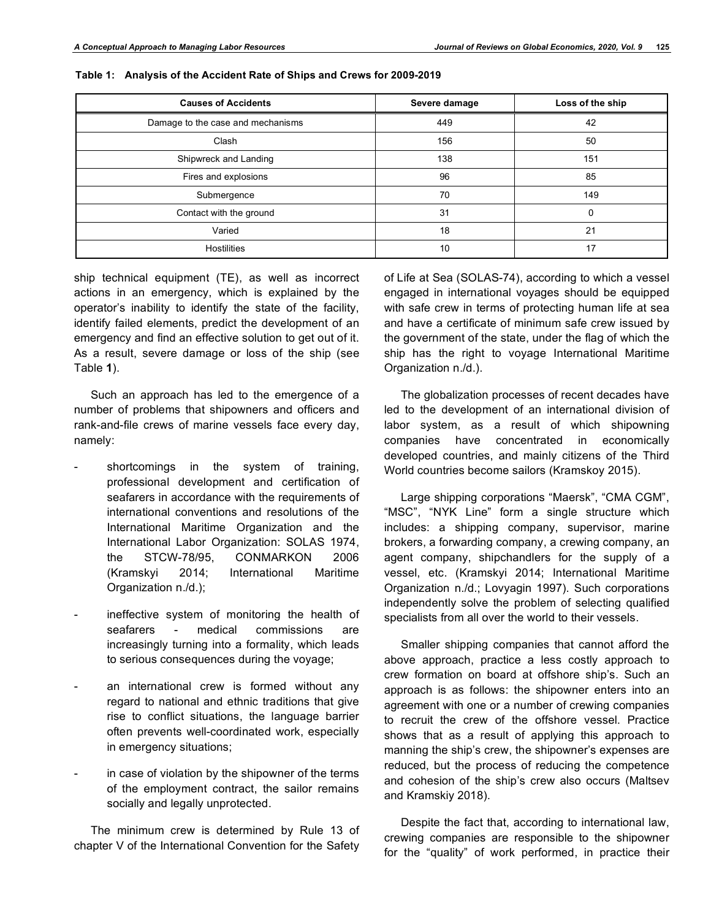| <b>Causes of Accidents</b>        | Severe damage | Loss of the ship |
|-----------------------------------|---------------|------------------|
| Damage to the case and mechanisms | 449           | 42               |
| Clash                             | 156           | 50               |
| Shipwreck and Landing             | 138           | 151              |
| Fires and explosions              | 96            | 85               |
| Submergence                       | 70            | 149              |
| Contact with the ground           | 31            | O                |
| Varied                            | 18            | 21               |
| Hostilities                       | 10            | 17               |

**Table 1: Analysis of the Accident Rate of Ships and Crews for 2009-2019**

ship technical equipment (TE), as well as incorrect actions in an emergency, which is explained by the operator's inability to identify the state of the facility, identify failed elements, predict the development of an emergency and find an effective solution to get out of it. As a result, severe damage or loss of the ship (see Table **1**).

Such an approach has led to the emergence of a number of problems that shipowners and officers and rank-and-file crews of marine vessels face every day, namely:

- shortcomings in the system of training, professional development and certification of seafarers in accordance with the requirements of international conventions and resolutions of the International Maritime Organization and the International Labor Organization: SOLAS 1974, the STCW-78/95, CONMARKON 2006 (Kramskyi 2014; International Maritime Organization n./d.);
- ineffective system of monitoring the health of seafarers - medical commissions are increasingly turning into a formality, which leads to serious consequences during the voyage;
- an international crew is formed without any regard to national and ethnic traditions that give rise to conflict situations, the language barrier often prevents well-coordinated work, especially in emergency situations;
- in case of violation by the shipowner of the terms of the employment contract, the sailor remains socially and legally unprotected.

The minimum crew is determined by Rule 13 of chapter V of the International Convention for the Safety of Life at Sea (SOLAS-74), according to which a vessel engaged in international voyages should be equipped with safe crew in terms of protecting human life at sea and have a certificate of minimum safe crew issued by the government of the state, under the flag of which the ship has the right to voyage International Maritime Organization n./d.).

The globalization processes of recent decades have led to the development of an international division of labor system, as a result of which shipowning companies have concentrated in economically developed countries, and mainly citizens of the Third World countries become sailors (Kramskoy 2015).

Large shipping corporations "Maersk", "СМА CGM", "MSC", "NYK Line" form a single structure which includes: a shipping company, supervisor, marine brokers, a forwarding company, a crewing company, an agent company, shipchandlers for the supply of a vessel, etc. (Kramskyi 2014; International Maritime Organization n./d.; Lovyagin 1997). Such corporations independently solve the problem of selecting qualified specialists from all over the world to their vessels.

Smaller shipping companies that cannot afford the above approach, practice a less costly approach to crew formation on board at offshore ship's. Such an approach is as follows: the shipowner enters into an agreement with one or a number of crewing companies to recruit the crew of the offshore vessel. Practice shows that as a result of applying this approach to manning the ship's crew, the shipowner's expenses are reduced, but the process of reducing the competence and cohesion of the ship's crew also occurs (Maltsev and Kramskiy 2018).

Despite the fact that, according to international law, crewing companies are responsible to the shipowner for the "quality" of work performed, in practice their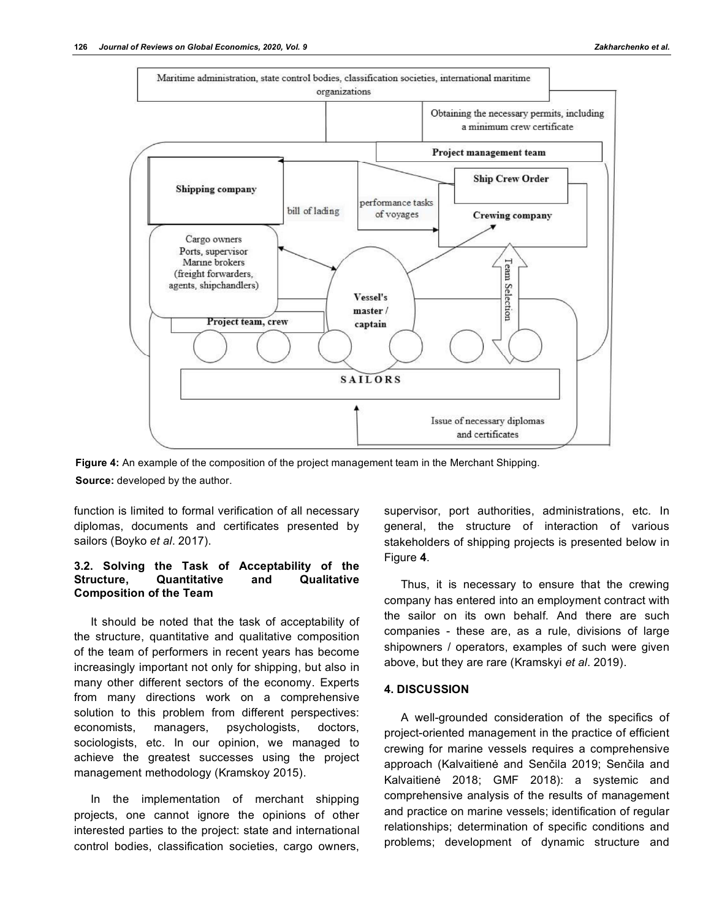

**Figure 4:** An example of the composition of the project management team in the Merchant Shipping. **Source:** developed by the author.

function is limited to formal verification of all necessary diplomas, documents and certificates presented by sailors (Boyko *et al*. 2017).

### **3.2. Solving the Task of Acceptability of the Structure, Quantitative and Qualitative Composition of the Team**

It should be noted that the task of acceptability of the structure, quantitative and qualitative composition of the team of performers in recent years has become increasingly important not only for shipping, but also in many other different sectors of the economy. Experts from many directions work on a comprehensive solution to this problem from different perspectives: economists, managers, psychologists, doctors, sociologists, etc. In our opinion, we managed to achieve the greatest successes using the project management methodology (Kramskoy 2015).

In the implementation of merchant shipping projects, one cannot ignore the opinions of other interested parties to the project: state and international control bodies, classification societies, cargo owners,

supervisor, port authorities, administrations, etc. In general, the structure of interaction of various stakeholders of shipping projects is presented below in Figure **4**.

Thus, it is necessary to ensure that the crewing company has entered into an employment contract with the sailor on its own behalf. And there are such companies - these are, as a rule, divisions of large shipowners / operators, examples of such were given above, but they are rare (Kramskyі *et al*. 2019).

## **4. DISCUSSION**

A well-grounded consideration of the specifics of project-oriented management in the practice of efficient crewing for marine vessels requires a comprehensive approach (Kalvaitienė and Senčila 2019; Senčila and Kalvaitienė 2018; GMF 2018): a systemic and comprehensive analysis of the results of management and practice on marine vessels; identification of regular relationships; determination of specific conditions and problems; development of dynamic structure and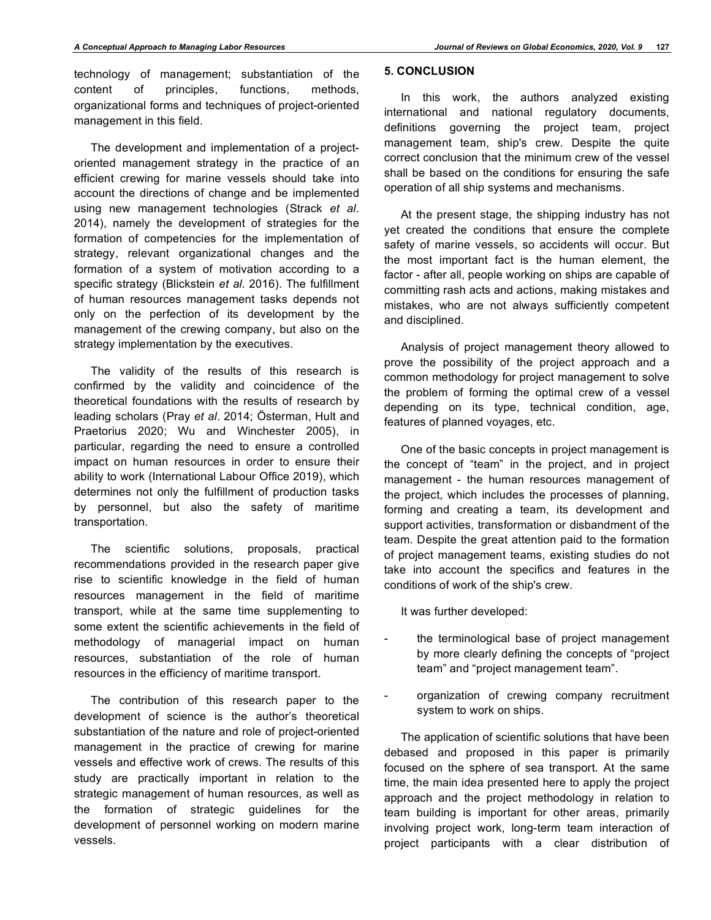technology of management; substantiation of the content of principles, functions, methods, organizational forms and techniques of project-oriented management in this field.

The development and implementation of a projectoriented management strategy in the practice of an efficient crewing for marine vessels should take into account the directions of change and be implemented using new management technologies (Strack *et al*. 2014), namely the development of strategies for the formation of competencies for the implementation of strategy, relevant organizational changes and the formation of a system of motivation according to a specific strategy (Blickstein *et al*. 2016). The fulfillment of human resources management tasks depends not only on the perfection of its development by the management of the crewing company, but also on the strategy implementation by the executives.

The validity of the results of this research is confirmed by the validity and coincidence of the theoretical foundations with the results of research by leading scholars (Pray *et al*. 2014; Österman, Hult and Praetorius 2020; Wu and Winchester 2005), in particular, regarding the need to ensure a controlled impact on human resources in order to ensure their ability to work (International Labour Office 2019), which determines not only the fulfillment of production tasks by personnel, but also the safety of maritime transportation.

The scientific solutions, proposals, practical recommendations provided in the research paper give rise to scientific knowledge in the field of human resources management in the field of maritime transport, while at the same time supplementing to some extent the scientific achievements in the field of methodology of managerial impact on human resources, substantiation of the role of human resources in the efficiency of maritime transport.

The contribution of this research paper to the development of science is the author's theoretical substantiation of the nature and role of project-oriented management in the practice of crewing for marine vessels and effective work of crews. The results of this study are practically important in relation to the strategic management of human resources, as well as the formation of strategic guidelines for the development of personnel working on modern marine vessels.

## **5. CONCLUSION**

In this work, the authors analyzed existing international and national regulatory documents, definitions governing the project team, project management team, ship's crew. Despite the quite correct conclusion that the minimum crew of the vessel shall be based on the conditions for ensuring the safe operation of all ship systems and mechanisms.

At the present stage, the shipping industry has not yet created the conditions that ensure the complete safety of marine vessels, so accidents will occur. But the most important fact is the human element, the factor - after all, people working on ships are capable of committing rash acts and actions, making mistakes and mistakes, who are not always sufficiently competent and disciplined.

Analysis of project management theory allowed to prove the possibility of the project approach and a common methodology for project management to solve the problem of forming the optimal crew of a vessel depending on its type, technical condition, age, features of planned voyages, etc.

One of the basic concepts in project management is the concept of "team" in the project, and in project management - the human resources management of the project, which includes the processes of planning, forming and creating a team, its development and support activities, transformation or disbandment of the team. Despite the great attention paid to the formation of project management teams, existing studies do not take into account the specifics and features in the conditions of work of the ship's crew.

It was further developed:

- the terminological base of project management by more clearly defining the concepts of "project team" and "project management team".
- organization of crewing company recruitment system to work on ships.

The application of scientific solutions that have been debased and proposed in this paper is primarily focused on the sphere of sea transport. At the same time, the main idea presented here to apply the project approach and the project methodology in relation to team building is important for other areas, primarily involving project work, long-term team interaction of project participants with a clear distribution of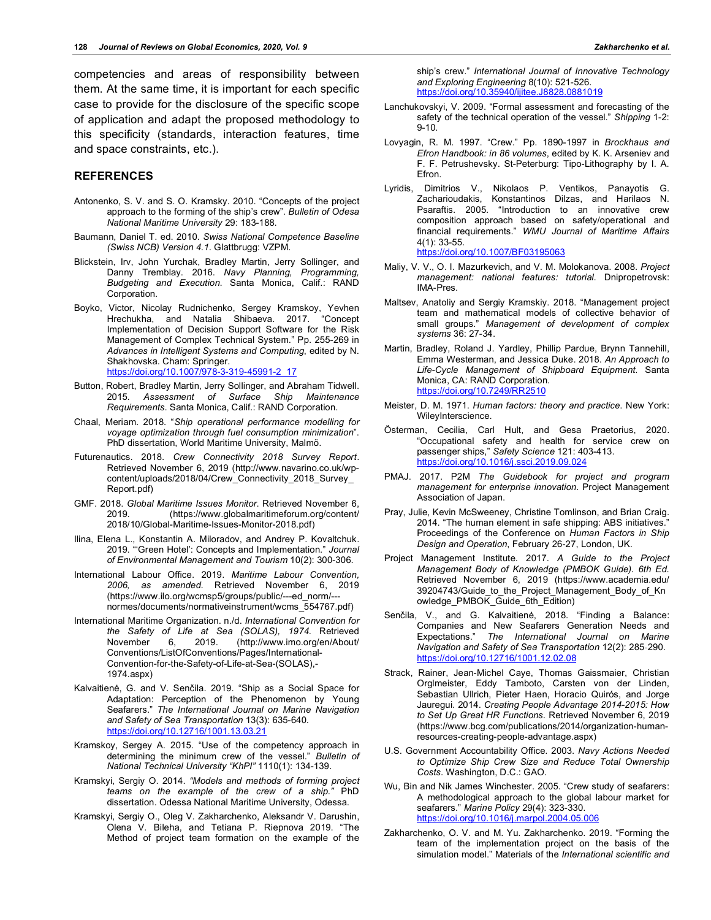competencies and areas of responsibility between them. At the same time, it is important for each specific case to provide for the disclosure of the specific scope of application and adapt the proposed methodology to this specificity (standards, interaction features, time and space constraints, etc.).

#### **REFERENCES**

- Antonenko, S. V. and S. O. Kramsky. 2010. "Concepts of the project approach to the forming of the ship's crew". *Bulletin of Odesa National Maritime University* 29: 183-188.
- Baumann, Daniel T. ed. 2010. *Swiss National Competence Baseline (Swiss NCB) Version 4.1*. Glattbrugg: VZPM.
- Blickstein, Irv, John Yurchak, Bradley Martin, Jerry Sollinger, and Danny Tremblay. 2016. *Navy Planning, Programming, Budgeting and Execution*. Santa Monica, Calif.: RAND Corporation.
- Boyko, Victor, Nicolay Rudnichenko, Sergey Kramskoy, Yevhen Hrechukha, and Natalia Shibaeva. 2017. "Concept Implementation of Decision Support Software for the Risk Management of Complex Technical System." Pp. 255-269 in *Advances in Intelligent Systems and Computing*, edited by N. Shakhovska. Cham: Springer. https://doi.org/10.1007/978-3-319-45991-2\_17
- Button, Robert, Bradley Martin, Jerry Sollinger, and Abraham Tidwell. 2015. *Assessment of Surface Ship Maintenance Requirements*. Santa Monica, Calif.: RAND Corporation.
- Chaal, Meriam. 2018. "*Ship operational performance modelling for voyage optimization through fuel consumption minimization*". PhD dissertation, World Maritime University, Malmö.
- Futurenautics. 2018. *Crew Connectivity 2018 Survey Report*. Retrieved November 6, 2019 (http://www.navarino.co.uk/wpcontent/uploads/2018/04/Crew\_Connectivity\_2018\_Survey\_ Report.pdf)
- GMF. 2018. *Global Maritime Issues Monitor*. Retrieved November 6, 2019. (https://www.globalmaritimeforum.org/content/ 2018/10/Global-Maritime-Issues-Monitor-2018.pdf)
- Ilina, Elena L., Konstantin A. Miloradov, and Andrey P. Kovaltchuk. 2019. "'Green Hotel': Concepts and Implementation." *Journal of Environmental Management and Tourism* 10(2): 300-306.
- International Labour Office. 2019. *Maritime Labour Convention, 2006, as amended*. Retrieved November 6, 2019 (https://www.ilo.org/wcmsp5/groups/public/---ed\_norm/-- normes/documents/normativeinstrument/wcms\_554767.pdf)
- International Maritime Organization. n./d. *International Convention for the Safety of Life at Sea (SOLAS), 1974.* Retrieved November 6, 2019. (http://www.imo.org/en/About/ Conventions/ListOfConventions/Pages/International-Convention-for-the-Safety-of-Life-at-Sea-(SOLAS),- 1974.aspx)
- Kalvaitienė, G. and V. Senčila. 2019. "Ship as a Social Space for Adaptation: Perception of the Phenomenon by Young Seafarers." *The International Journal on Marine Navigation and Safety of Sea Transportation* 13(3): 635-640. https://doi.org/10.12716/1001.13.03.21
- Kramskoy, Sergey A. 2015. "Use of the competency approach in determining the minimum crew of the vessel." *Bulletin of National Technical University "KhPI"* 1110(1): 134-139.
- Kramskyi, Sergiy O. 2014. *"Models and methods of forming project teams on the example of the crew of a ship."* PhD dissertation. Odessa National Maritime University, Odessa.
- Kramskyі, Sergiy O., Oleg V. Zakharchenko, Aleksandr V. Darushin, Olena V. Bileha, and Tetiana P. Riepnova 2019. "The Method of project team formation on the example of the

ship's crew." *International Journal of Innovative Technology and Exploring Engineering* 8(10): 521-526. https://doi.org/10.35940/ijitee.J8828.0881019

- Lanchukovskyi, V. 2009. "Formal assessment and forecasting of the safety of the technical operation of the vessel." *Shipping* 1-2: 9-10.
- Lovyagin, R. M. 1997. "Crew." Pp. 1890-1997 in *Brockhaus and Efron Handbook: in 86 volumes*, edited by K. K. Arseniev and F. F. Petrushevsky. St-Peterburg: Tipo-Lithography by I. A. Efron.
- Lyridis, Dimitrios V., Nikolaos P. Ventikos, Panayotis G. Zacharioudakis, Konstantinos Dilzas, and Harilaos N. Psaraftis. 2005. "Introduction to an innovative crew composition approach based on safety/operational and financial requirements." *WMU Journal of Maritime Affairs* 4(1): 33-55. https://doi.org/10.1007/BF03195063
- Maliy, V. V., O. I. Mazurkevich, and V. M. Molokanova. 2008. *Project management: national features: tutorial*. Dnipropetrovsk: IMA-Pres.
- Maltsev, Anatoliy and Sergiy Kramskiy. 2018. "Management project team and mathematical models of collective behavior of small groups." *Management of development of complex systems* 36: 27-34.
- Martin, Bradley, Roland J. Yardley, Phillip Pardue, Brynn Tannehill, Emma Westerman, and Jessica Duke. 2018. *An Approach to Life-Cycle Management of Shipboard Equipment*. Santa Monica, CA: RAND Corporation. https://doi.org/10.7249/R
- Meister, D. М. 1971. *Human factors: theory and practice*. New York: WileyInterscience.
- Österman, Cecilia, Carl Hult, and Gesa Praetorius, 2020. "Occupational safety and health for service crew on passenger ships," *Safety Science* 121: 403-413. https://doi.org/10.1016/j.ssci.2019.09.024
- PMAJ. 2017. P2M *The Guidebook for project and program management for enterprise innovation*. Project Management Association of Japan.
- Pray, Julie, Kevin McSweeney, Christine Tomlinson, and Brian Craig. 2014. "The human element in safe shipping: ABS initiatives." Proceedings of the Conference on *Human Factors in Ship Design and Operation*, February 26-27, London, UK.
- Project Management Institute. 2017. *A Guide to the Project Management Body of Knowledge (PMBOK Guide). 6th Ed.* Retrieved November 6, 2019 (https://www.academia.edu/ 39204743/Guide\_to\_the\_Project\_Management\_Body\_of\_Kn owledge\_PMBOK\_Guide\_6th\_Edition)
- Senčila, V., and G. Kalvaitienė, 2018. "Finding a Balance: Companies and New Seafarers Generation Needs and Expectations." *The International Journal on Marine Navigation and Safety of Sea Transportation* 12(2): 285‐290. https://doi.org/10.12716/1001.12.02.08
- Strack, Rainer, Jean-Michel Caye, Thomas Gaissmaier, Christian Orglmeister, Eddy Tamboto, Carsten von der Linden, Sebastian Ullrich, Pieter Haen, Horacio Quirós, and Jorge Jauregui. 2014. *Creating People Advantage 2014-2015: How to Set Up Great HR Functions*. Retrieved November 6, 2019 (https://www.bcg.com/publications/2014/organization-humanresources-creating-people-advantage.aspx)
- U.S. Government Accountability Office. 2003. *Navy Actions Needed to Optimize Ship Crew Size and Reduce Total Ownership Costs*. Washington, D.C.: GAO.
- Wu, Bin and Nik James Winchester. 2005. "Crew study of seafarers: A methodological approach to the global labour market for seafarers." *Marine Policy* 29(4): 323-330. https://doi.org/10.1016/j.marpol.2004.05.006
- Zakharchenko, O. V. and M. Yu. Zakharchenko. 2019. "Forming the team of the implementation project on the basis of the simulation model." Materials of the *International scientific and*